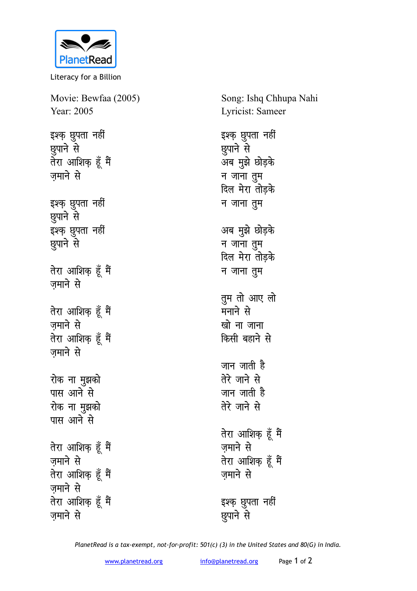

Literacy for a Billion

Movie: Bewfaa (2005) Year: 2005 इश्क़ छुपता नहीं **g**पाने से तेरा आशिक हूँ मैं जमाने से इश्क <u>छु</u>पता नहीं **g**पाने से इश्क़ छुपता नहीं *lgund* से **तेरा आशिक हूँ मैं** जमाने से **तेरा आशिक हूँ मैं** ज़माने से **तेरा आशिक हूँ मैं** ज़माने से रोक ना मुझको **पास आने से** रोक ना मुझको पास आने से **तेरा आशिक हूँ मैं** जमाने से **तेरा आशिक हूँ मैं** जमाने से **तेरा आशिक हूँ मैं** जमाने से

Song: Ishq Chhupa Nahi Lyricist: Sameer इश्क़ छुपता नहीं छुपाने से अब मुझे छोड़के **h** जाना तुम **दिल मेरा तोड़के** <u>न जाना तु</u>म अब मुझे छोड़के <u>न जाना त</u>ुम **दिल मेरा तोड़के** <u>न जाना तु</u>म तुम तो आए लो मनाने से खो ना जाना **किसी बहाने से** जान जाती है तेरे जाने से जान जाती है तेरे जाने से **तेरा आशिक हूँ मैं** जमाने से **तेरा आशिक हूँ मैं** जमाने से इश्क़ **छु**पता नहीं **g**पाने से

*PlanetRead is a tax-exempt, not-for-profit: 501(c) (3) in the United States and 80(G) in India.*